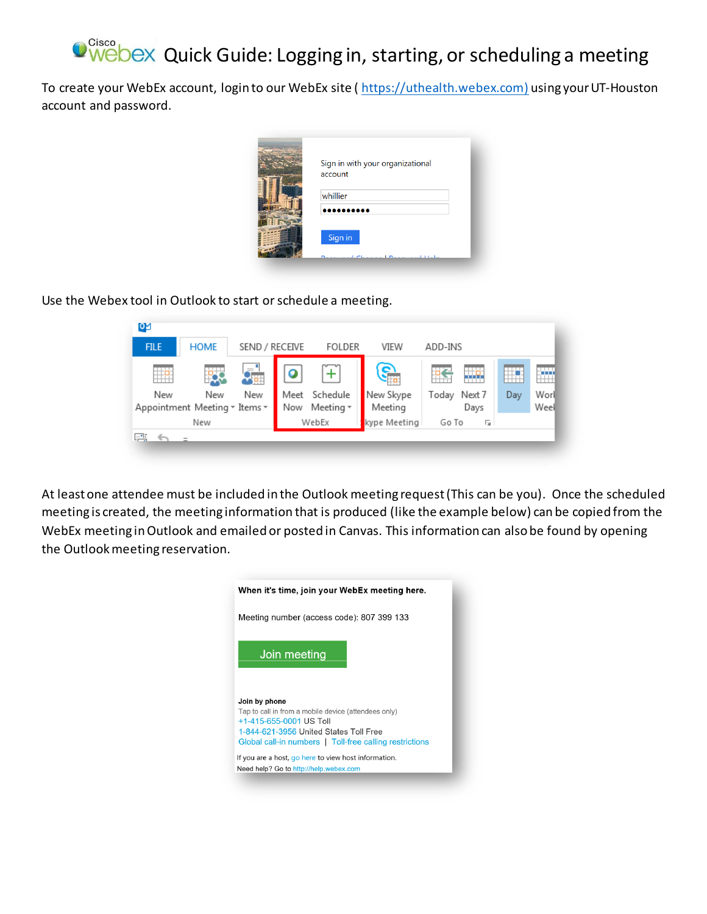## Cisco Webex Quick Guide: Logging in, starting, or scheduling a meeting

To create your WebEx account, login to our WebEx site ( [https://uthealth.webex.com](https://uthealth.webex.com/)) using your UT-Houston account and password.

| Sign in with your organizational<br>account |  |
|---------------------------------------------|--|
| whillier                                    |  |
|                                             |  |
| Sign in<br>$\mathbf{r}$<br>$-1 + 1 - 1$ .   |  |
|                                             |  |

Use the Webex tool in Outlook to start or schedule a meeting.

| ٥g          |                                      |                          |             |                       |                      |                         |     |              |
|-------------|--------------------------------------|--------------------------|-------------|-----------------------|----------------------|-------------------------|-----|--------------|
| <b>FILE</b> | <b>HOME</b>                          | SEND / RECEIVE           |             | <b>FOLDER</b>         | VIEW                 | ADD-INS                 |     |              |
| ÷н          |                                      | $\qquad \qquad =$<br>40. | Ω           |                       | 67                   | ĸ<br>tto.               |     | W.           |
| New         | New<br>Appointment Meeting v Items v | New                      | Meet<br>Now | Schedule<br>Meeting + | New Skype<br>Meeting | Next 7<br>Today<br>Days | Day | Worl<br>Weel |
| New         |                                      |                          | WebEx       |                       | kype Meeting         | Go To<br>匠              |     |              |
| 巴耳          |                                      |                          |             |                       |                      |                         |     |              |

At least one attendee must be included in the Outlook meeting request (This can be you). Once the scheduled meeting is created, the meeting information that is produced (like the example below) can be copied from the WebEx meeting in Outlook and emailed or posted in Canvas. This information can also be found by opening the Outlook meeting reservation.